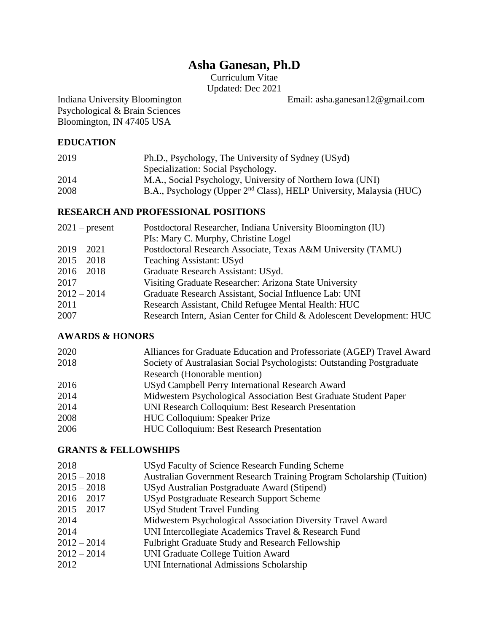# **Asha Ganesan, Ph.D**

Curriculum Vitae Updated: Dec 2021

Indiana University Bloomington Email: asha.ganesan12@gmail.com

Psychological & Brain Sciences Bloomington, IN 47405 USA

### **EDUCATION**

| 2019 | Ph.D., Psychology, The University of Sydney (USyd)                              |  |
|------|---------------------------------------------------------------------------------|--|
|      | Specialization: Social Psychology.                                              |  |
| 2014 | M.A., Social Psychology, University of Northern Iowa (UNI)                      |  |
| 2008 | B.A., Psychology (Upper 2 <sup>nd</sup> Class), HELP University, Malaysia (HUC) |  |

### **RESEARCH AND PROFESSIONAL POSITIONS**

| $2021$ – present | Postdoctoral Researcher, Indiana University Bloomington (IU)          |
|------------------|-----------------------------------------------------------------------|
|                  | PIs: Mary C. Murphy, Christine Logel                                  |
| $2019 - 2021$    | Postdoctoral Research Associate, Texas A&M University (TAMU)          |
| $2015 - 2018$    | <b>Teaching Assistant: USyd</b>                                       |
| $2016 - 2018$    | Graduate Research Assistant: USyd.                                    |
| 2017             | Visiting Graduate Researcher: Arizona State University                |
| $2012 - 2014$    | Graduate Research Assistant, Social Influence Lab: UNI                |
| 2011             | Research Assistant, Child Refugee Mental Health: HUC                  |
| 2007             | Research Intern, Asian Center for Child & Adolescent Development: HUC |

### **AWARDS & HONORS**

| 2020 | Alliances for Graduate Education and Professoriate (AGEP) Travel Award |  |
|------|------------------------------------------------------------------------|--|
| 2018 | Society of Australasian Social Psychologists: Outstanding Postgraduate |  |
|      | Research (Honorable mention)                                           |  |
| 2016 | USyd Campbell Perry International Research Award                       |  |
| 2014 | Midwestern Psychological Association Best Graduate Student Paper       |  |
| 2014 | UNI Research Colloquium: Best Research Presentation                    |  |
| 2008 | <b>HUC Colloquium: Speaker Prize</b>                                   |  |
| 2006 | <b>HUC Colloquium: Best Research Presentation</b>                      |  |
|      |                                                                        |  |

### **GRANTS & FELLOWSHIPS**

| USyd Faculty of Science Research Funding Scheme                       |
|-----------------------------------------------------------------------|
| Australian Government Research Training Program Scholarship (Tuition) |
| USyd Australian Postgraduate Award (Stipend)                          |
| USyd Postgraduate Research Support Scheme                             |
| <b>USyd Student Travel Funding</b>                                    |
| Midwestern Psychological Association Diversity Travel Award           |
| UNI Intercollegiate Academics Travel & Research Fund                  |
| Fulbright Graduate Study and Research Fellowship                      |
| <b>UNI Graduate College Tuition Award</b>                             |
| UNI International Admissions Scholarship                              |
|                                                                       |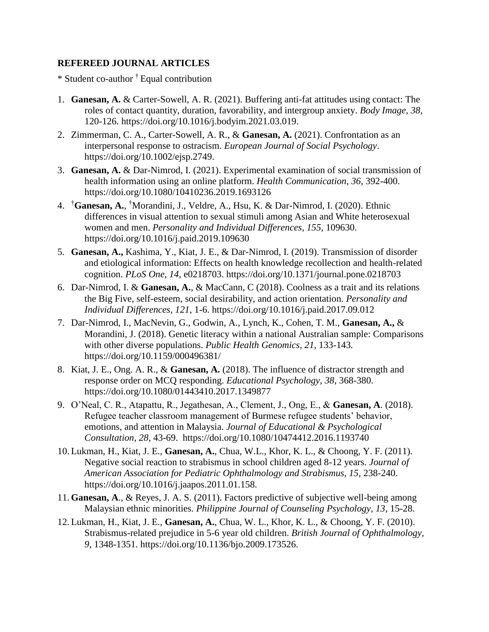### **REFEREED JOURNAL ARTICLES**

\* Student co-author † Equal contribution

- 1. **Ganesan, A.** & Carter-Sowell, A. R. (2021). Buffering anti-fat attitudes using contact: The roles of contact quantity, duration, favorability, and intergroup anxiety. *Body Image, 38,*  120-126. https://doi.org/10.1016/j.bodyim.2021.03.019.
- 2. Zimmerman, C. A., Carter-Sowell, A. R., & **Ganesan, A.** (2021). Confrontation as an interpersonal response to ostracism. *European Journal of Social Psychology*. https://doi.org/10.1002/ejsp.2749.
- 3. **Ganesan, A.** & Dar-Nimrod, I. (2021). Experimental examination of social transmission of health information using an online platform. *Health Communication*, *36*, 392-400. https://doi.org/10.1080/10410236.2019.1693126
- 4. †**Ganesan, A.**, †Morandini, J., Veldre, A., Hsu, K. & Dar-Nimrod, I. (2020). Ethnic differences in visual attention to sexual stimuli among Asian and White heterosexual women and men. *Personality and Individual Differences, 155,* 109630. https://doi.org/10.1016/j.paid.2019.109630
- 5. **Ganesan, A.,** Kashima, Y., Kiat, J. E., & Dar-Nimrod, I. (2019). Transmission of disorder and etiological information: Effects on health knowledge recollection and health-related cognition. *PLoS One, 14*, e0218703. https://doi.org/10.1371/journal.pone.0218703
- 6. Dar-Nimrod, I. & **Ganesan, A.**, & MacCann, C (2018). Coolness as a trait and its relations the Big Five, self-esteem, social desirability, and action orientation. *Personality and Individual Differences, 121*, 1-6. https://doi.org/10.1016/j.paid.2017.09.012
- 7. Dar-Nimrod, I., MacNevin, G., Godwin, A., Lynch, K., Cohen, T. M., **Ganesan, A.,** & Morandini, J. (2018). Genetic literacy within a national Australian sample: Comparisons with other diverse populations. *Public Health Genomics, 21,* 133-143*.* https://doi.org/10.1159/000496381/
- 8. Kiat, J. E., Ong. A. R., & **Ganesan, A.** (2018). The influence of distractor strength and response order on MCQ responding. *Educational Psychology, 38*, 368-380. https://doi.org/10.1080/01443410.2017.1349877
- 9. O'Neal, C. R., Atapattu, R., Jegathesan, A., Clement, J., Ong, E., & **Ganesan, A**. (2018). Refugee teacher classroom management of Burmese refugee students' behavior, emotions, and attention in Malaysia. *Journal of Educational & Psychological Consultation, 28*, 43-69. https://doi.org/10.1080/10474412.2016.1193740
- 10. Lukman, H., Kiat, J. E., **Ganesan, A.**, Chua, W.L., Khor, K. L., & Choong, Y. F. (2011). Negative social reaction to strabismus in school children aged 8-12 years. *Journal of American Association for Pediatric Ophthalmology and Strabismus, 15,* 238-240. https://doi.org/10.1016/j.jaapos.2011.01.158.
- 11. **Ganesan, A**., & Reyes, J. A. S. (2011). Factors predictive of subjective well-being among Malaysian ethnic minorities. *Philippine Journal of Counseling Psychology, 13*, 15-28.
- 12. Lukman, H., Kiat, J. E., **Ganesan, A.**, Chua, W. L., Khor, K. L., & Choong, Y. F. (2010). Strabismus-related prejudice in 5-6 year old children. *British Journal of Ophthalmology, 9*, 1348-1351. https://doi.org/10.1136/bjo.2009.173526.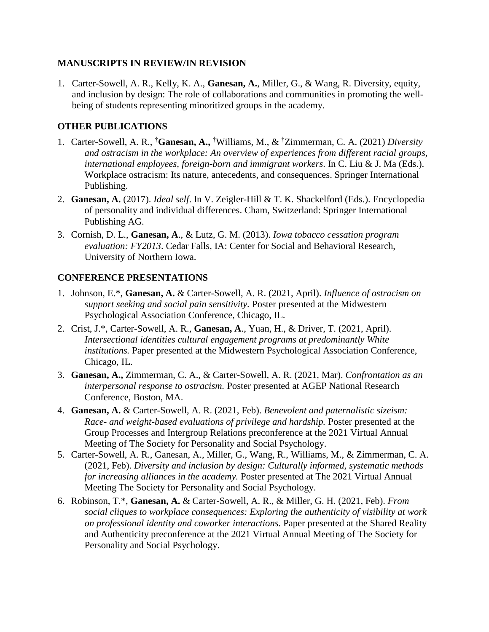### **MANUSCRIPTS IN REVIEW/IN REVISION**

1. Carter-Sowell, A. R., Kelly, K. A., **Ganesan, A.**, Miller, G., & Wang, R. Diversity, equity, and inclusion by design: The role of collaborations and communities in promoting the wellbeing of students representing minoritized groups in the academy.

### **OTHER PUBLICATIONS**

- 1. Carter-Sowell, A. R., †**Ganesan, A.,** †Williams, M., & †Zimmerman, C. A. (2021) *Diversity and ostracism in the workplace: An overview of experiences from different racial groups, international employees, foreign-born and immigrant workers*. In C. Liu & J. Ma (Eds.). Workplace ostracism: Its nature, antecedents, and consequences. Springer International Publishing.
- 2. **Ganesan, A.** (2017). *Ideal self*. In V. Zeigler-Hill & T. K. Shackelford (Eds.). Encyclopedia of personality and individual differences. Cham, Switzerland: Springer International Publishing AG.
- 3. Cornish, D. L., **Ganesan, A**., & Lutz, G. M. (2013). *Iowa tobacco cessation program evaluation: FY2013*. Cedar Falls, IA: Center for Social and Behavioral Research, University of Northern Iowa.

### **CONFERENCE PRESENTATIONS**

- 1. Johnson, E.\*, **Ganesan, A.** & Carter-Sowell, A. R. (2021, April). *Influence of ostracism on support seeking and social pain sensitivity.* Poster presented at the Midwestern Psychological Association Conference, Chicago, IL.
- 2. Crist, J.\*, Carter-Sowell, A. R., **Ganesan, A**., Yuan, H., & Driver, T. (2021, April). *Intersectional identities cultural engagement programs at predominantly White institutions.* Paper presented at the Midwestern Psychological Association Conference, Chicago, IL.
- 3. **Ganesan, A.,** Zimmerman, C. A., & Carter-Sowell, A. R. (2021, Mar). *Confrontation as an interpersonal response to ostracism.* Poster presented at AGEP National Research Conference, Boston, MA.
- 4. **Ganesan, A.** & Carter-Sowell, A. R. (2021, Feb). *Benevolent and paternalistic sizeism: Race- and weight-based evaluations of privilege and hardship.* Poster presented at the Group Processes and Intergroup Relations preconference at the 2021 Virtual Annual Meeting of The Society for Personality and Social Psychology.
- 5. Carter-Sowell, A. R., Ganesan, A., Miller, G., Wang, R., Williams, M., & Zimmerman, C. A. (2021, Feb). *Diversity and inclusion by design: Culturally informed, systematic methods for increasing alliances in the academy.* Poster presented at The 2021 Virtual Annual Meeting The Society for Personality and Social Psychology.
- 6. Robinson, T.\*, **Ganesan, A.** & Carter-Sowell, A. R., & Miller, G. H. (2021, Feb). *From social cliques to workplace consequences: Exploring the authenticity of visibility at work on professional identity and coworker interactions.* Paper presented at the Shared Reality and Authenticity preconference at the 2021 Virtual Annual Meeting of The Society for Personality and Social Psychology.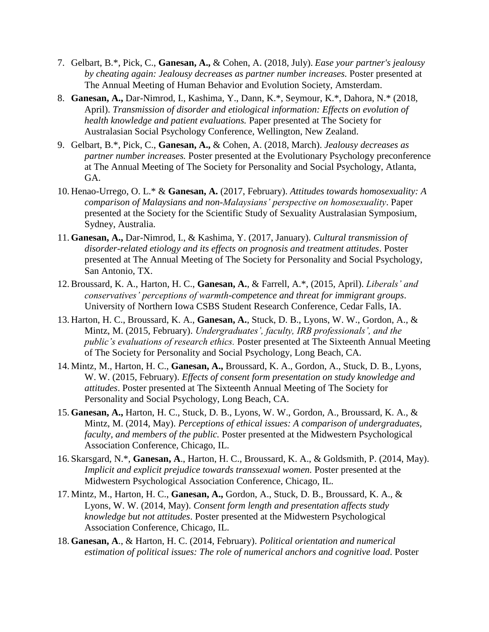- 7. Gelbart, B.\*, Pick, C., **Ganesan, A.,** & Cohen, A. (2018, July). *Ease your partner's jealousy by cheating again: Jealousy decreases as partner number increases.* Poster presented at The Annual Meeting of Human Behavior and Evolution Society, Amsterdam.
- 8. **Ganesan, A.,** Dar-Nimrod, I., Kashima, Y., Dann, K.\*, Seymour, K.\*, Dahora, N.\* (2018, April). *Transmission of disorder and etiological information: Effects on evolution of health knowledge and patient evaluations.* Paper presented at The Society for Australasian Social Psychology Conference, Wellington, New Zealand.
- 9. Gelbart, B.\*, Pick, C., **Ganesan, A.,** & Cohen, A. (2018, March). *Jealousy decreases as partner number increases.* Poster presented at the Evolutionary Psychology preconference at The Annual Meeting of The Society for Personality and Social Psychology, Atlanta, GA.
- 10. Henao-Urrego, O. L.\* & **Ganesan, A.** (2017, February). *Attitudes towards homosexuality: A comparison of Malaysians and non-Malaysians' perspective on homosexuality*. Paper presented at the Society for the Scientific Study of Sexuality Australasian Symposium, Sydney, Australia.
- 11. **Ganesan, A.,** Dar-Nimrod, I., & Kashima, Y. (2017, January). *Cultural transmission of disorder-related etiology and its effects on prognosis and treatment attitudes*. Poster presented at The Annual Meeting of The Society for Personality and Social Psychology, San Antonio, TX.
- 12. Broussard, K. A., Harton, H. C., **Ganesan, A.**, & Farrell, A.\*, (2015, April). *Liberals' and conservatives' perceptions of warmth-competence and threat for immigrant groups*. University of Northern Iowa CSBS Student Research Conference, Cedar Falls, IA.
- 13. Harton, H. C., Broussard, K. A., **Ganesan, A.**, Stuck, D. B., Lyons, W. W., Gordon, A., & Mintz, M. (2015, February). *Undergraduates', faculty, IRB professionals', and the public's evaluations of research ethics.* Poster presented at The Sixteenth Annual Meeting of The Society for Personality and Social Psychology, Long Beach, CA.
- 14. Mintz, M., Harton, H. C., **Ganesan, A.,** Broussard, K. A., Gordon, A., Stuck, D. B., Lyons, W. W. (2015, February). *Effects of consent form presentation on study knowledge and attitudes*. Poster presented at The Sixteenth Annual Meeting of The Society for Personality and Social Psychology, Long Beach, CA.
- 15. **Ganesan, A.,** Harton, H. C., Stuck, D. B., Lyons, W. W., Gordon, A., Broussard, K. A., & Mintz, M. (2014, May). *Perceptions of ethical issues: A comparison of undergraduates, faculty, and members of the public.* Poster presented at the Midwestern Psychological Association Conference, Chicago, IL.
- 16. Skarsgard, N.\*, **Ganesan, A**., Harton, H. C., Broussard, K. A., & Goldsmith, P. (2014, May). *Implicit and explicit prejudice towards transsexual women.* Poster presented at the Midwestern Psychological Association Conference, Chicago, IL.
- 17. Mintz, M., Harton, H. C., **Ganesan, A.,** Gordon, A., Stuck, D. B., Broussard, K. A., & Lyons, W. W. (2014, May). *Consent form length and presentation affects study knowledge but not attitudes*. Poster presented at the Midwestern Psychological Association Conference, Chicago, IL.
- 18. **Ganesan, A**., & Harton, H. C. (2014, February). *Political orientation and numerical estimation of political issues: The role of numerical anchors and cognitive load*. Poster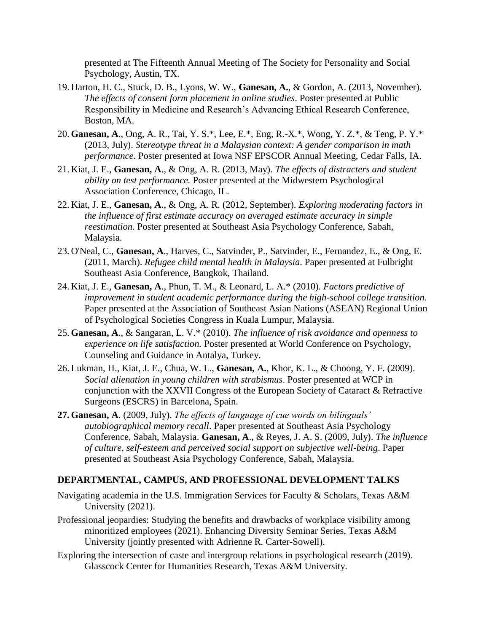presented at The Fifteenth Annual Meeting of The Society for Personality and Social Psychology, Austin, TX.

- 19. Harton, H. C., Stuck, D. B., Lyons, W. W., **Ganesan, A.**, & Gordon, A. (2013, November). *The effects of consent form placement in online studies*. Poster presented at Public Responsibility in Medicine and Research's Advancing Ethical Research Conference, Boston, MA.
- 20. **Ganesan, A**., Ong, A. R., Tai, Y. S.\*, Lee, E.\*, Eng, R.-X.\*, Wong, Y. Z.\*, & Teng, P. Y.\* (2013, July). *Stereotype threat in a Malaysian context: A gender comparison in math performance*. Poster presented at Iowa NSF EPSCOR Annual Meeting, Cedar Falls, IA.
- 21. Kiat, J. E., **Ganesan, A**., & Ong, A. R. (2013, May). *The effects of distracters and student ability on test performance.* Poster presented at the Midwestern Psychological Association Conference, Chicago, IL.
- 22. Kiat, J. E., **Ganesan, A**., & Ong, A. R. (2012, September). *Exploring moderating factors in the influence of first estimate accuracy on averaged estimate accuracy in simple reestimation.* Poster presented at Southeast Asia Psychology Conference, Sabah, Malaysia.
- 23. O'Neal, C., **Ganesan, A**., Harves, C., Satvinder, P., Satvinder, E., Fernandez, E., & Ong, E. (2011, March). *Refugee child mental health in Malaysia*. Paper presented at Fulbright Southeast Asia Conference, Bangkok, Thailand.
- 24. Kiat, J. E., **Ganesan, A**., Phun, T. M., & Leonard, L. A.\* (2010). *Factors predictive of improvement in student academic performance during the high-school college transition.* Paper presented at the Association of Southeast Asian Nations (ASEAN) Regional Union of Psychological Societies Congress in Kuala Lumpur, Malaysia.
- 25. **Ganesan, A**., & Sangaran, L. V.\* (2010). *The influence of risk avoidance and openness to experience on life satisfaction.* Poster presented at World Conference on Psychology, Counseling and Guidance in Antalya, Turkey.
- 26. Lukman, H., Kiat, J. E., Chua, W. L., **Ganesan, A.**, Khor, K. L., & Choong, Y. F. (2009). *Social alienation in young children with strabismus*. Poster presented at WCP in conjunction with the XXVII Congress of the European Society of Cataract & Refractive Surgeons (ESCRS) in Barcelona, Spain.
- **27. Ganesan, A**. (2009, July). *The effects of language of cue words on bilinguals' autobiographical memory recall*. Paper presented at Southeast Asia Psychology Conference, Sabah, Malaysia. **Ganesan, A**., & Reyes, J. A. S. (2009, July). *The influence of culture, self-esteem and perceived social support on subjective well-being*. Paper presented at Southeast Asia Psychology Conference, Sabah, Malaysia.

### **DEPARTMENTAL, CAMPUS, AND PROFESSIONAL DEVELOPMENT TALKS**

- Navigating academia in the U.S. Immigration Services for Faculty & Scholars, Texas A&M University (2021).
- Professional jeopardies: Studying the benefits and drawbacks of workplace visibility among minoritized employees (2021). Enhancing Diversity Seminar Series, Texas A&M University (jointly presented with Adrienne R. Carter-Sowell).
- Exploring the intersection of caste and intergroup relations in psychological research (2019). Glasscock Center for Humanities Research, Texas A&M University.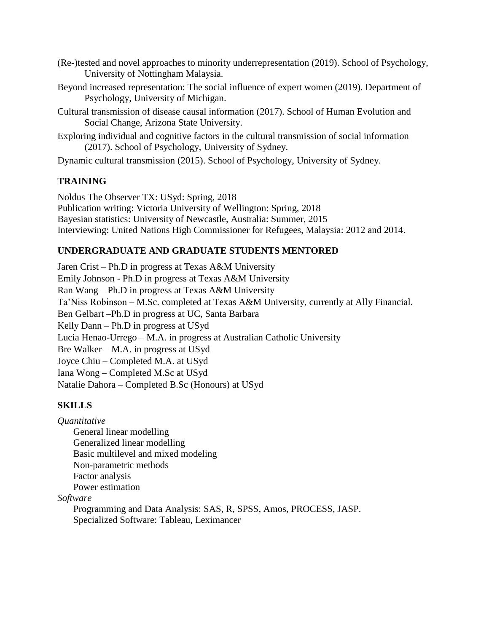- (Re-)tested and novel approaches to minority underrepresentation (2019). School of Psychology, University of Nottingham Malaysia.
- Beyond increased representation: The social influence of expert women (2019). Department of Psychology, University of Michigan.
- Cultural transmission of disease causal information (2017). School of Human Evolution and Social Change, Arizona State University.
- Exploring individual and cognitive factors in the cultural transmission of social information (2017). School of Psychology, University of Sydney.

Dynamic cultural transmission (2015). School of Psychology, University of Sydney.

# **TRAINING**

Noldus The Observer TX: USyd: Spring, 2018 Publication writing: Victoria University of Wellington: Spring, 2018 Bayesian statistics: University of Newcastle, Australia: Summer, 2015 Interviewing: United Nations High Commissioner for Refugees, Malaysia: 2012 and 2014.

# **UNDERGRADUATE AND GRADUATE STUDENTS MENTORED**

Jaren Crist – Ph.D in progress at Texas A&M University Emily Johnson - Ph.D in progress at Texas A&M University Ran Wang – Ph.D in progress at Texas A&M University Ta'Niss Robinson – M.Sc. completed at Texas A&M University, currently at Ally Financial. Ben Gelbart –Ph.D in progress at UC, Santa Barbara Kelly Dann – Ph.D in progress at USyd Lucia Henao-Urrego – M.A. in progress at Australian Catholic University Bre Walker – M.A. in progress at USyd Joyce Chiu – Completed M.A. at USyd Iana Wong – Completed M.Sc at USyd Natalie Dahora – Completed B.Sc (Honours) at USyd

# **SKILLS**

*Quantitative*

General linear modelling Generalized linear modelling Basic multilevel and mixed modeling Non-parametric methods Factor analysis Power estimation

*Software*

Programming and Data Analysis: SAS, R, SPSS, Amos, PROCESS, JASP. Specialized Software: Tableau, Leximancer